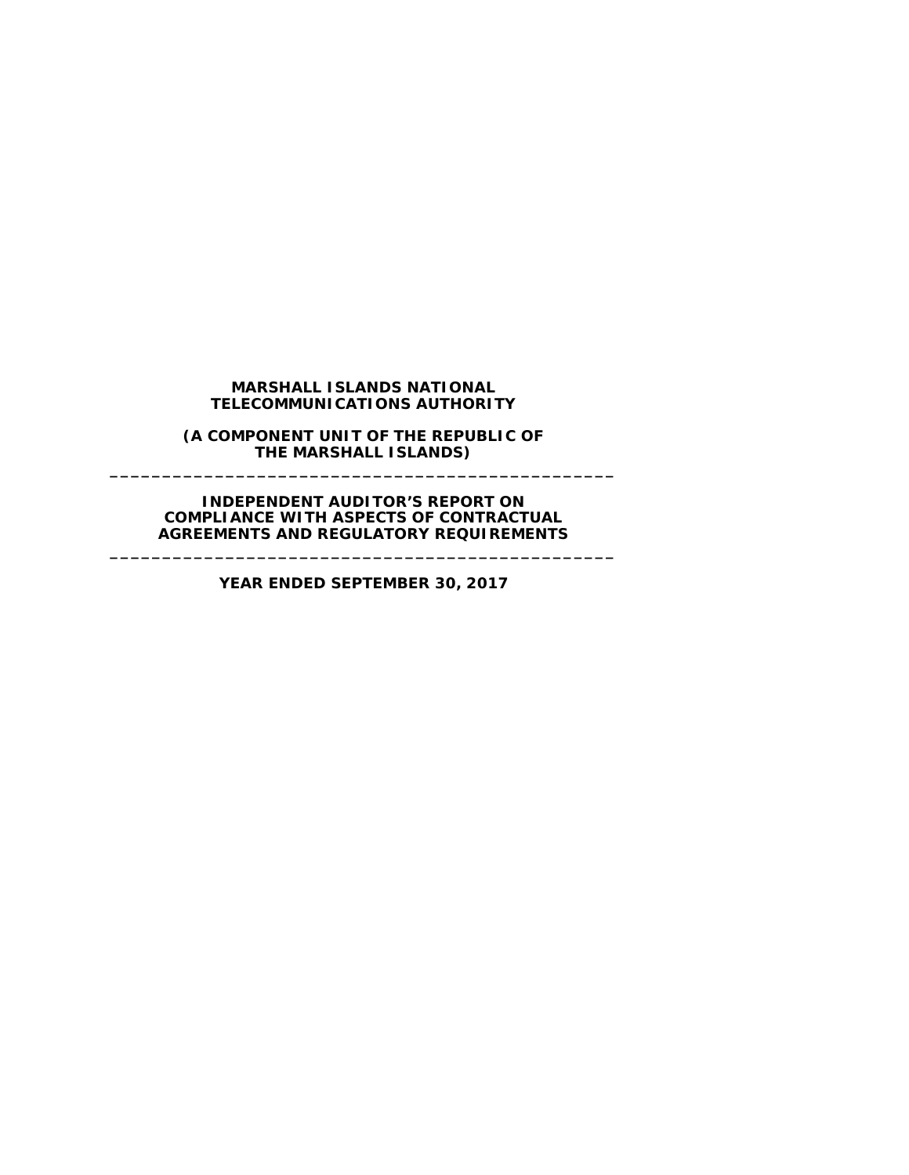#### **MARSHALL ISLANDS NATIONAL TELECOMMUNICATIONS AUTHORITY**

**(A COMPONENT UNIT OF THE REPUBLIC OF THE MARSHALL ISLANDS) \_\_\_\_\_\_\_\_\_\_\_\_\_\_\_\_\_\_\_\_\_\_\_\_\_\_\_\_\_\_\_\_\_\_\_\_\_\_\_\_\_\_\_\_\_\_\_\_**

**INDEPENDENT AUDITOR'S REPORT ON COMPLIANCE WITH ASPECTS OF CONTRACTUAL AGREEMENTS AND REGULATORY REQUIREMENTS**

**YEAR ENDED SEPTEMBER 30, 2017**

**\_\_\_\_\_\_\_\_\_\_\_\_\_\_\_\_\_\_\_\_\_\_\_\_\_\_\_\_\_\_\_\_\_\_\_\_\_\_\_\_\_\_\_\_\_\_\_\_**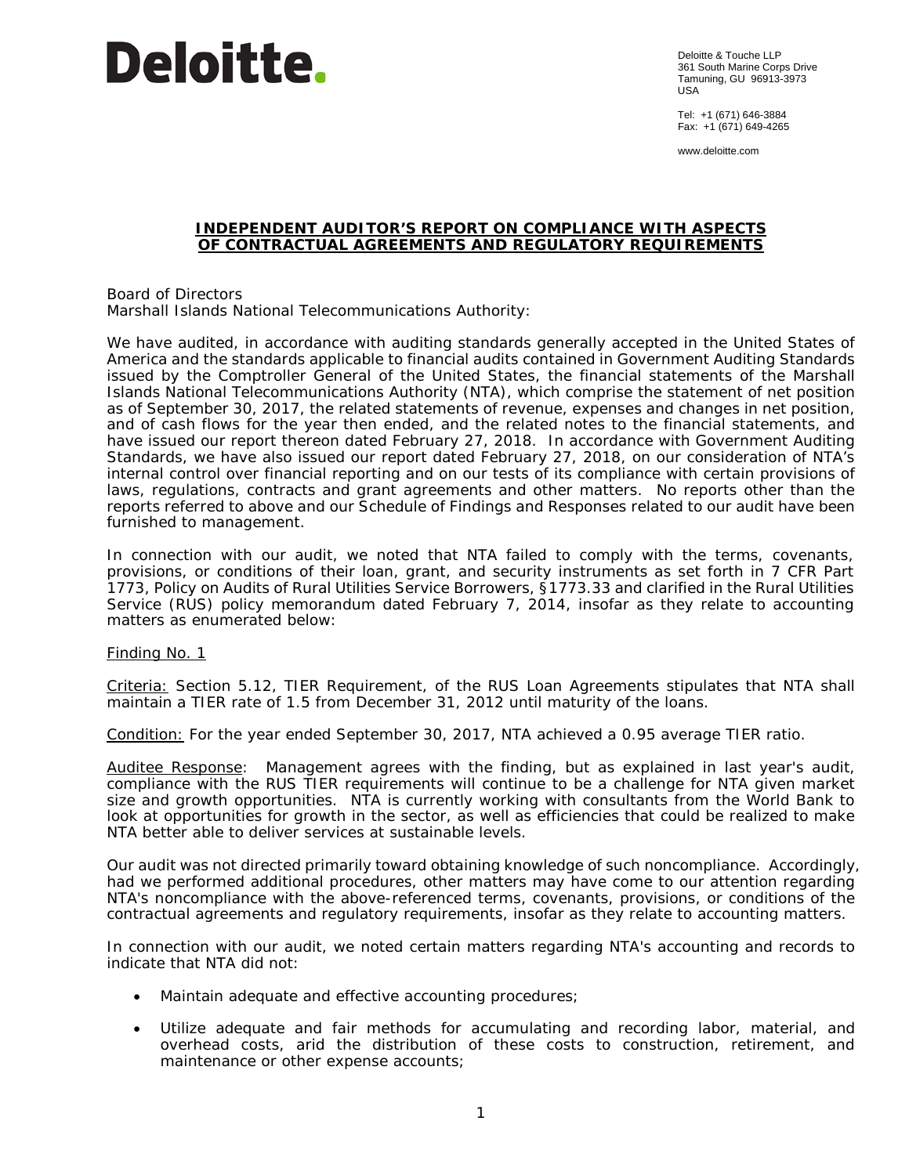# **Deloitte.**

Deloitte & Touche LLP 361 South Marine Corps Drive Tamuning, GU 96913-3973 USA

Tel: +1 (671) 646-3884 Fax: +1 (671) 649-4265

www.deloitte.com

### **INDEPENDENT AUDITOR'S REPORT ON COMPLIANCE WITH ASPECTS OF CONTRACTUAL AGREEMENTS AND REGULATORY REQUIREMENTS**

Board of Directors Marshall Islands National Telecommunications Authority:

We have audited, in accordance with auditing standards generally accepted in the United States of America and the standards applicable to financial audits contained in *Government Auditing Standards* issued by the Comptroller General of the United States, the financial statements of the Marshall Islands National Telecommunications Authority (NTA), which comprise the statement of net position as of September 30, 2017, the related statements of revenue, expenses and changes in net position, and of cash flows for the year then ended, and the related notes to the financial statements, and have issued our report thereon dated February 27, 2018. In accordance with *Government Auditing Standards*, we have also issued our report dated February 27, 2018, on our consideration of NTA's internal control over financial reporting and on our tests of its compliance with certain provisions of laws, regulations, contracts and grant agreements and other matters. No reports other than the reports referred to above and our Schedule of Findings and Responses related to our audit have been furnished to management.

In connection with our audit, we noted that NTA failed to comply with the terms, covenants, provisions, or conditions of their loan, grant, and security instruments as set forth in 7 CFR Part 1773, *Policy on Audits of Rural Utilities Service Borrowers*, §1773.33 and clarified in the Rural Utilities Service (RUS) policy memorandum dated February 7, 2014, insofar as they relate to accounting matters as enumerated below:

### Finding No. 1

Criteria: Section 5.12, *TIER Requirement*, of the RUS Loan Agreements stipulates that NTA shall maintain a TIER rate of 1.5 from December 31, 2012 until maturity of the loans.

Condition: For the year ended September 30, 2017, NTA achieved a 0.95 average TIER ratio.

Auditee Response: Management agrees with the finding, but as explained in last year's audit, compliance with the RUS TIER requirements will continue to be a challenge for NTA given market size and growth opportunities. NTA is currently working with consultants from the World Bank to look at opportunities for growth in the sector, as well as efficiencies that could be realized to make NTA better able to deliver services at sustainable levels.

Our audit was not directed primarily toward obtaining knowledge of such noncompliance. Accordingly, had we performed additional procedures, other matters may have come to our attention regarding NTA's noncompliance with the above-referenced terms, covenants, provisions, or conditions of the contractual agreements and regulatory requirements, insofar as they relate to accounting matters.

In connection with our audit, we noted certain matters regarding NTA's accounting and records to indicate that NTA did not:

- Maintain adequate and effective accounting procedures;
- Utilize adequate and fair methods for accumulating and recording labor, material, and overhead costs, arid the distribution of these costs to construction, retirement, and maintenance or other expense accounts;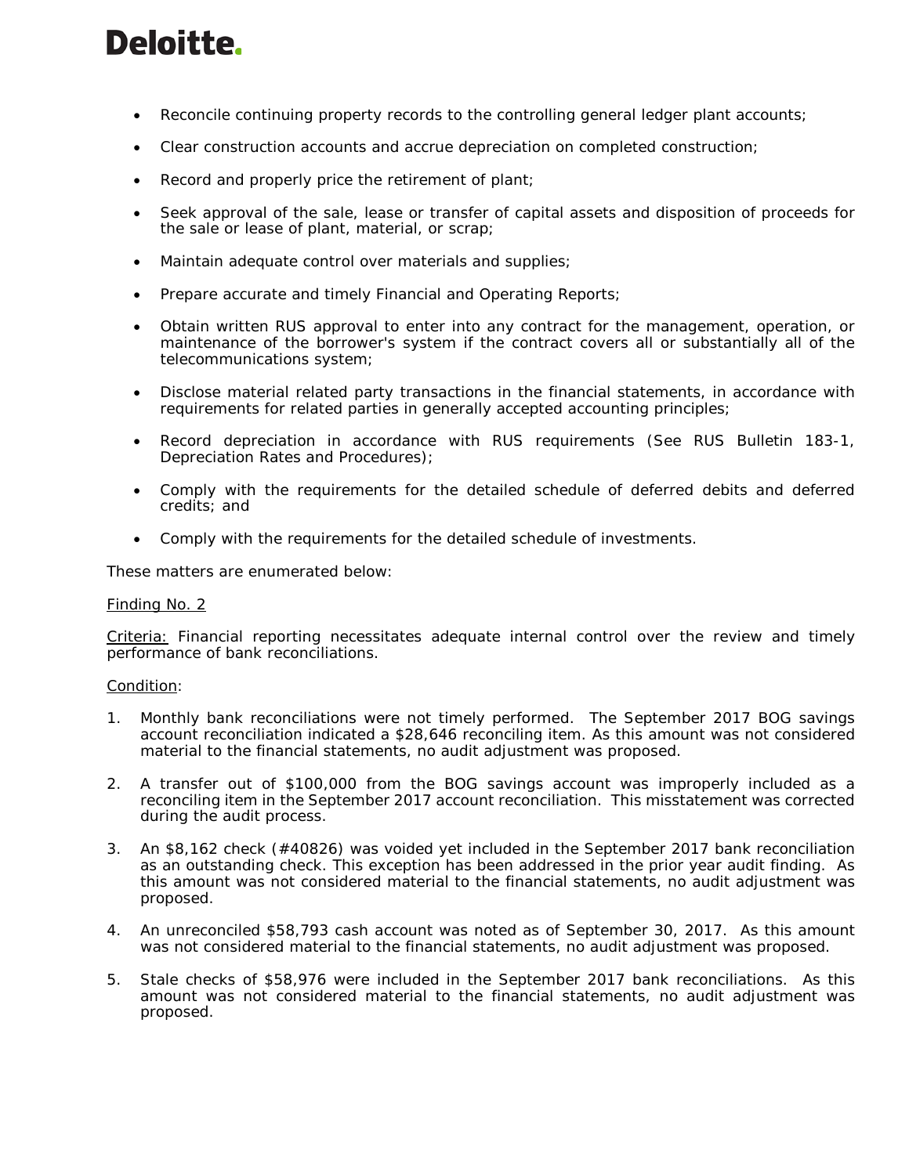# Deloitte.

- Reconcile continuing property records to the controlling general ledger plant accounts;
- Clear construction accounts and accrue depreciation on completed construction;
- Record and properly price the retirement of plant;
- Seek approval of the sale, lease or transfer of capital assets and disposition of proceeds for the sale or lease of plant, material, or scrap;
- Maintain adequate control over materials and supplies;
- Prepare accurate and timely Financial and Operating Reports;
- Obtain written RUS approval to enter into any contract for the management, operation, or maintenance of the borrower's system if the contract covers all or substantially all of the telecommunications system;
- Disclose material related party transactions in the financial statements, in accordance with requirements for related parties in generally accepted accounting principles;
- Record depreciation in accordance with RUS requirements (See RUS Bulletin 183-1, Depreciation Rates and Procedures);
- Comply with the requirements for the detailed schedule of deferred debits and deferred credits; and
- Comply with the requirements for the detailed schedule of investments.

These matters are enumerated below:

# Finding No. 2

Criteria: Financial reporting necessitates adequate internal control over the review and timely performance of bank reconciliations.

### Condition:

- 1. Monthly bank reconciliations were not timely performed. The September 2017 BOG savings account reconciliation indicated a \$28,646 reconciling item. As this amount was not considered material to the financial statements, no audit adjustment was proposed.
- 2. A transfer out of \$100,000 from the BOG savings account was improperly included as a reconciling item in the September 2017 account reconciliation. This misstatement was corrected during the audit process.
- 3. An \$8,162 check (#40826) was voided yet included in the September 2017 bank reconciliation as an outstanding check. This exception has been addressed in the prior year audit finding. As this amount was not considered material to the financial statements, no audit adjustment was proposed.
- 4. An unreconciled \$58,793 cash account was noted as of September 30, 2017. As this amount was not considered material to the financial statements, no audit adjustment was proposed.
- 5. Stale checks of \$58,976 were included in the September 2017 bank reconciliations. As this amount was not considered material to the financial statements, no audit adjustment was proposed.